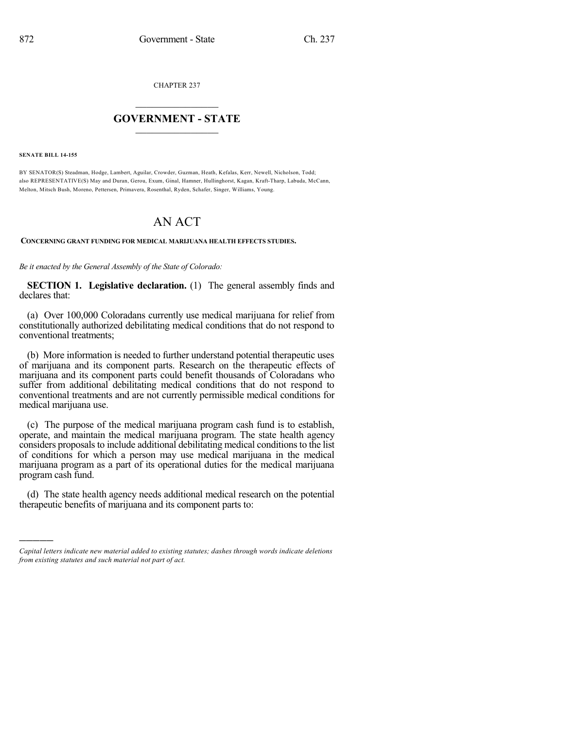CHAPTER 237

## $\overline{\phantom{a}}$  . The set of the set of the set of the set of the set of the set of the set of the set of the set of the set of the set of the set of the set of the set of the set of the set of the set of the set of the set o **GOVERNMENT - STATE**  $\_$

**SENATE BILL 14-155**

)))))

BY SENATOR(S) Steadman, Hodge, Lambert, Aguilar, Crowder, Guzman, Heath, Kefalas, Kerr, Newell, Nicholson, Todd; also REPRESENTATIVE(S) May and Duran, Gerou, Exum, Ginal, Hamner, Hullinghorst, Kagan, Kraft-Tharp, Labuda, McCann, Melton, Mitsch Bush, Moreno, Pettersen, Primavera, Rosenthal, Ryden, Schafer, Singer, Williams, Young.

## AN ACT

**CONCERNING GRANT FUNDING FOR MEDICAL MARIJUANA HEALTH EFFECTS STUDIES.**

*Be it enacted by the General Assembly of the State of Colorado:*

**SECTION 1. Legislative declaration.** (1) The general assembly finds and declares that:

(a) Over 100,000 Coloradans currently use medical marijuana for relief from constitutionally authorized debilitating medical conditions that do not respond to conventional treatments;

(b) More information is needed to further understand potential therapeutic uses of marijuana and its component parts. Research on the therapeutic effects of marijuana and its component parts could benefit thousands of Coloradans who suffer from additional debilitating medical conditions that do not respond to conventional treatments and are not currently permissible medical conditions for medical marijuana use.

(c) The purpose of the medical marijuana program cash fund is to establish, operate, and maintain the medical marijuana program. The state health agency considers proposals to include additional debilitating medical conditions to the list of conditions for which a person may use medical marijuana in the medical marijuana program as a part of its operational duties for the medical marijuana program cash fund.

(d) The state health agency needs additional medical research on the potential therapeutic benefits of marijuana and its component parts to:

*Capital letters indicate new material added to existing statutes; dashes through words indicate deletions from existing statutes and such material not part of act.*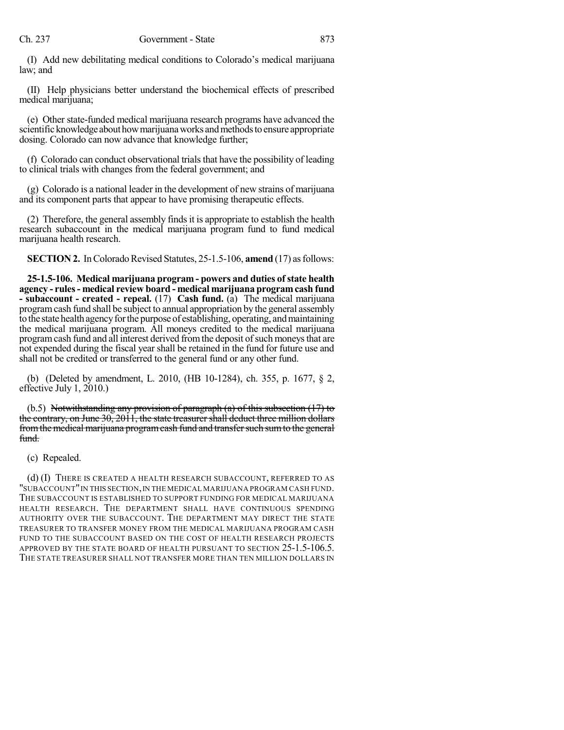(I) Add new debilitating medical conditions to Colorado's medical marijuana law; and

(II) Help physicians better understand the biochemical effects of prescribed medical marijuana;

(e) Other state-funded medical marijuana research programs have advanced the scientific knowledge about how marijuana works and methods to ensure appropriate dosing. Colorado can now advance that knowledge further;

(f) Colorado can conduct observational trials that have the possibility of leading to clinical trials with changes from the federal government; and

(g) Colorado is a national leader in the development of new strains of marijuana and its component parts that appear to have promising therapeutic effects.

(2) Therefore, the general assembly findsit is appropriate to establish the health research subaccount in the medical marijuana program fund to fund medical marijuana health research.

**SECTION 2.** In Colorado Revised Statutes, 25-1.5-106, **amend** (17) as follows:

**25-1.5-106. Medical marijuana program - powers and duties ofstate health agency - rules- medical review board - medical marijuana programcash fund - subaccount - created - repeal.** (17) **Cash fund.** (a) The medical marijuana programcash fund shall be subject to annual appropriation by the general assembly to the state health agency for the purpose of establishing, operating, and maintaining the medical marijuana program. All moneys credited to the medical marijuana program cash fund and all interest derived from the deposit of such moneys that are not expended during the fiscal year shall be retained in the fund for future use and shall not be credited or transferred to the general fund or any other fund.

(b) (Deleted by amendment, L. 2010, (HB 10-1284), ch. 355, p. 1677, § 2, effective July 1, 2010.)

(b.5) Notwithstanding any provision of paragraph (a) of this subsection  $(17)$  to the contrary, on June 30, 2011, the state treasurershall deduct three million dollars from the medical marijuana program cash fund and transfer such sum to the general fund.

(c) Repealed.

(d) (I) THERE IS CREATED A HEALTH RESEARCH SUBACCOUNT, REFERRED TO AS "SUBACCOUNT"IN THIS SECTION,IN THE MEDICAL MARIJUANA PROGRAM CASH FUND. THE SUBACCOUNT IS ESTABLISHED TO SUPPORT FUNDING FOR MEDICAL MARIJUANA HEALTH RESEARCH. THE DEPARTMENT SHALL HAVE CONTINUOUS SPENDING AUTHORITY OVER THE SUBACCOUNT. THE DEPARTMENT MAY DIRECT THE STATE TREASURER TO TRANSFER MONEY FROM THE MEDICAL MARIJUANA PROGRAM CASH FUND TO THE SUBACCOUNT BASED ON THE COST OF HEALTH RESEARCH PROJECTS APPROVED BY THE STATE BOARD OF HEALTH PURSUANT TO SECTION 25-1.5-106.5. THE STATE TREASURER SHALL NOT TRANSFER MORE THAN TEN MILLION DOLLARS IN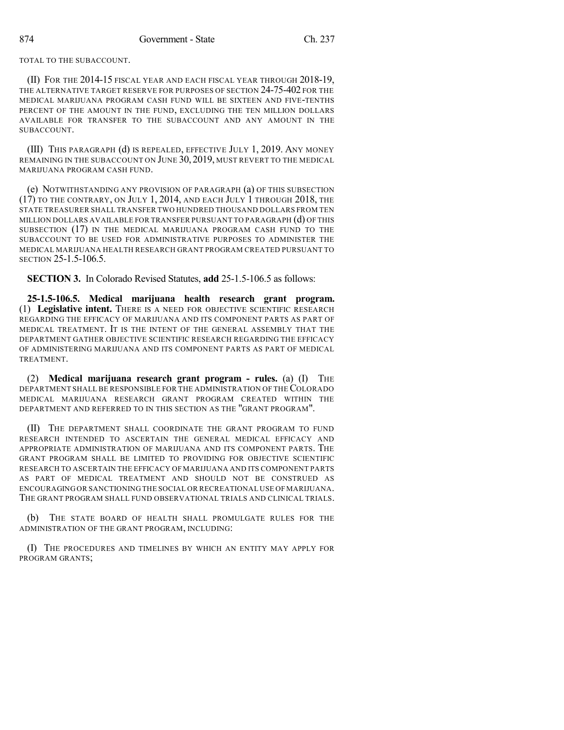TOTAL TO THE SUBACCOUNT.

(II) FOR THE 2014-15 FISCAL YEAR AND EACH FISCAL YEAR THROUGH 2018-19, THE ALTERNATIVE TARGET RESERVE FOR PURPOSES OF SECTION 24-75-402 FOR THE MEDICAL MARIJUANA PROGRAM CASH FUND WILL BE SIXTEEN AND FIVE-TENTHS PERCENT OF THE AMOUNT IN THE FUND, EXCLUDING THE TEN MILLION DOLLARS AVAILABLE FOR TRANSFER TO THE SUBACCOUNT AND ANY AMOUNT IN THE SUBACCOUNT.

(III) THIS PARAGRAPH (d) IS REPEALED, EFFECTIVE JULY 1, 2019. ANY MONEY REMAINING IN THE SUBACCOUNT ON JUNE 30, 2019, MUST REVERT TO THE MEDICAL MARIJUANA PROGRAM CASH FUND.

(e) NOTWITHSTANDING ANY PROVISION OF PARAGRAPH (a) OF THIS SUBSECTION (17) TO THE CONTRARY, ON JULY 1, 2014, AND EACH JULY 1 THROUGH 2018, THE STATE TREASURER SHALL TRANSFER TWO HUNDRED THOUSAND DOLLARS FROM TEN MILLION DOLLARS AVAILABLE FOR TRANSFER PURSUANT TO PARAGRAPH (d) OF THIS SUBSECTION (17) IN THE MEDICAL MARIJUANA PROGRAM CASH FUND TO THE SUBACCOUNT TO BE USED FOR ADMINISTRATIVE PURPOSES TO ADMINISTER THE MEDICAL MARIJUANA HEALTH RESEARCH GRANT PROGRAM CREATED PURSUANT TO SECTION 25-1.5-106.5.

**SECTION 3.** In Colorado Revised Statutes, **add** 25-1.5-106.5 as follows:

**25-1.5-106.5. Medical marijuana health research grant program.** (1) **Legislative intent.** THERE IS A NEED FOR OBJECTIVE SCIENTIFIC RESEARCH REGARDING THE EFFICACY OF MARIJUANA AND ITS COMPONENT PARTS AS PART OF MEDICAL TREATMENT. IT IS THE INTENT OF THE GENERAL ASSEMBLY THAT THE DEPARTMENT GATHER OBJECTIVE SCIENTIFIC RESEARCH REGARDING THE EFFICACY OF ADMINISTERING MARIJUANA AND ITS COMPONENT PARTS AS PART OF MEDICAL TREATMENT.

(2) **Medical marijuana research grant program - rules.** (a) (I) THE DEPARTMENT SHALL BE RESPONSIBLE FOR THE ADMINISTRATION OF THECOLORADO MEDICAL MARIJUANA RESEARCH GRANT PROGRAM CREATED WITHIN THE DEPARTMENT AND REFERRED TO IN THIS SECTION AS THE "GRANT PROGRAM".

(II) THE DEPARTMENT SHALL COORDINATE THE GRANT PROGRAM TO FUND RESEARCH INTENDED TO ASCERTAIN THE GENERAL MEDICAL EFFICACY AND APPROPRIATE ADMINISTRATION OF MARIJUANA AND ITS COMPONENT PARTS. THE GRANT PROGRAM SHALL BE LIMITED TO PROVIDING FOR OBJECTIVE SCIENTIFIC RESEARCH TO ASCERTAIN THE EFFICACY OF MARIJUANA AND ITS COMPONENT PARTS AS PART OF MEDICAL TREATMENT AND SHOULD NOT BE CONSTRUED AS ENCOURAGING OR SANCTIONING THE SOCIAL OR RECREATIONAL USE OF MARIJUANA. THE GRANT PROGRAM SHALL FUND OBSERVATIONAL TRIALS AND CLINICAL TRIALS.

(b) THE STATE BOARD OF HEALTH SHALL PROMULGATE RULES FOR THE ADMINISTRATION OF THE GRANT PROGRAM, INCLUDING:

(I) THE PROCEDURES AND TIMELINES BY WHICH AN ENTITY MAY APPLY FOR PROGRAM GRANTS;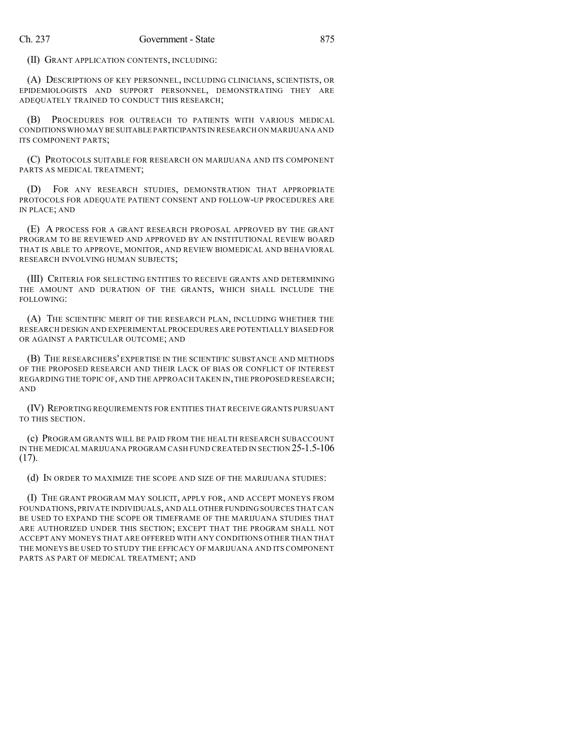(II) GRANT APPLICATION CONTENTS, INCLUDING:

(A) DESCRIPTIONS OF KEY PERSONNEL, INCLUDING CLINICIANS, SCIENTISTS, OR EPIDEMIOLOGISTS AND SUPPORT PERSONNEL, DEMONSTRATING THEY ARE ADEQUATELY TRAINED TO CONDUCT THIS RESEARCH;

(B) PROCEDURES FOR OUTREACH TO PATIENTS WITH VARIOUS MEDICAL CONDITIONS WHO MAY BE SUITABLE PARTICIPANTS IN RESEARCH ON MARIJUANA AND ITS COMPONENT PARTS;

(C) PROTOCOLS SUITABLE FOR RESEARCH ON MARIJUANA AND ITS COMPONENT PARTS AS MEDICAL TREATMENT;

(D) FOR ANY RESEARCH STUDIES, DEMONSTRATION THAT APPROPRIATE PROTOCOLS FOR ADEQUATE PATIENT CONSENT AND FOLLOW-UP PROCEDURES ARE IN PLACE; AND

(E) A PROCESS FOR A GRANT RESEARCH PROPOSAL APPROVED BY THE GRANT PROGRAM TO BE REVIEWED AND APPROVED BY AN INSTITUTIONAL REVIEW BOARD THAT IS ABLE TO APPROVE, MONITOR, AND REVIEW BIOMEDICAL AND BEHAVIORAL RESEARCH INVOLVING HUMAN SUBJECTS;

(III) CRITERIA FOR SELECTING ENTITIES TO RECEIVE GRANTS AND DETERMINING THE AMOUNT AND DURATION OF THE GRANTS, WHICH SHALL INCLUDE THE FOLLOWING:

(A) THE SCIENTIFIC MERIT OF THE RESEARCH PLAN, INCLUDING WHETHER THE RESEARCH DESIGN AND EXPERIMENTAL PROCEDURES ARE POTENTIALLY BIASED FOR OR AGAINST A PARTICULAR OUTCOME; AND

(B) THE RESEARCHERS' EXPERTISE IN THE SCIENTIFIC SUBSTANCE AND METHODS OF THE PROPOSED RESEARCH AND THEIR LACK OF BIAS OR CONFLICT OF INTEREST REGARDING THE TOPIC OF, AND THE APPROACH TAKEN IN,THE PROPOSED RESEARCH; AND

(IV) REPORTING REQUIREMENTS FOR ENTITIES THAT RECEIVE GRANTS PURSUANT TO THIS SECTION.

(c) PROGRAM GRANTS WILL BE PAID FROM THE HEALTH RESEARCH SUBACCOUNT IN THE MEDICAL MARIJUANA PROGRAM CASH FUND CREATED IN SECTION 25-1.5-106 (17).

(d) IN ORDER TO MAXIMIZE THE SCOPE AND SIZE OF THE MARIJUANA STUDIES:

(I) THE GRANT PROGRAM MAY SOLICIT, APPLY FOR, AND ACCEPT MONEYS FROM FOUNDATIONS,PRIVATE INDIVIDUALS,AND ALL OTHER FUNDING SOURCES THAT CAN BE USED TO EXPAND THE SCOPE OR TIMEFRAME OF THE MARIJUANA STUDIES THAT ARE AUTHORIZED UNDER THIS SECTION; EXCEPT THAT THE PROGRAM SHALL NOT ACCEPT ANY MONEYS THAT ARE OFFERED WITH ANY CONDITIONS OTHER THAN THAT THE MONEYS BE USED TO STUDY THE EFFICACY OF MARIJUANA AND ITS COMPONENT PARTS AS PART OF MEDICAL TREATMENT; AND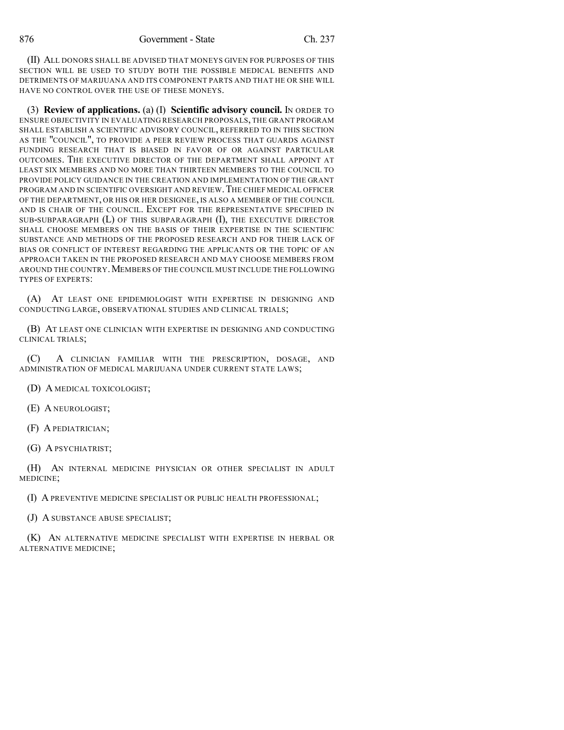(II) ALL DONORS SHALL BE ADVISED THAT MONEYS GIVEN FOR PURPOSES OF THIS SECTION WILL BE USED TO STUDY BOTH THE POSSIBLE MEDICAL BENEFITS AND DETRIMENTS OF MARIJUANA AND ITS COMPONENT PARTS AND THAT HE OR SHE WILL HAVE NO CONTROL OVER THE USE OF THESE MONEYS.

(3) **Review of applications.** (a) (I) **Scientific advisory council.** IN ORDER TO ENSURE OBJECTIVITY IN EVALUATING RESEARCH PROPOSALS, THE GRANT PROGRAM SHALL ESTABLISH A SCIENTIFIC ADVISORY COUNCIL, REFERRED TO IN THIS SECTION AS THE "COUNCIL", TO PROVIDE A PEER REVIEW PROCESS THAT GUARDS AGAINST FUNDING RESEARCH THAT IS BIASED IN FAVOR OF OR AGAINST PARTICULAR OUTCOMES. THE EXECUTIVE DIRECTOR OF THE DEPARTMENT SHALL APPOINT AT LEAST SIX MEMBERS AND NO MORE THAN THIRTEEN MEMBERS TO THE COUNCIL TO PROVIDE POLICY GUIDANCE IN THE CREATION AND IMPLEMENTATION OF THE GRANT PROGRAM AND IN SCIENTIFIC OVERSIGHT AND REVIEW.THE CHIEF MEDICAL OFFICER OF THE DEPARTMENT, OR HIS OR HER DESIGNEE, IS ALSO A MEMBER OF THE COUNCIL AND IS CHAIR OF THE COUNCIL. EXCEPT FOR THE REPRESENTATIVE SPECIFIED IN SUB-SUBPARAGRAPH (L) OF THIS SUBPARAGRAPH (I), THE EXECUTIVE DIRECTOR SHALL CHOOSE MEMBERS ON THE BASIS OF THEIR EXPERTISE IN THE SCIENTIFIC SUBSTANCE AND METHODS OF THE PROPOSED RESEARCH AND FOR THEIR LACK OF BIAS OR CONFLICT OF INTEREST REGARDING THE APPLICANTS OR THE TOPIC OF AN APPROACH TAKEN IN THE PROPOSED RESEARCH AND MAY CHOOSE MEMBERS FROM AROUND THE COUNTRY. MEMBERS OF THE COUNCIL MUST INCLUDE THE FOLLOWING TYPES OF EXPERTS:

(A) AT LEAST ONE EPIDEMIOLOGIST WITH EXPERTISE IN DESIGNING AND CONDUCTING LARGE, OBSERVATIONAL STUDIES AND CLINICAL TRIALS;

(B) AT LEAST ONE CLINICIAN WITH EXPERTISE IN DESIGNING AND CONDUCTING CLINICAL TRIALS;

(C) A CLINICIAN FAMILIAR WITH THE PRESCRIPTION, DOSAGE, AND ADMINISTRATION OF MEDICAL MARIJUANA UNDER CURRENT STATE LAWS;

(D) A MEDICAL TOXICOLOGIST;

(E) A NEUROLOGIST;

(F) A PEDIATRICIAN;

(G) A PSYCHIATRIST;

(H) AN INTERNAL MEDICINE PHYSICIAN OR OTHER SPECIALIST IN ADULT MEDICINE;

(I) A PREVENTIVE MEDICINE SPECIALIST OR PUBLIC HEALTH PROFESSIONAL;

(J) A SUBSTANCE ABUSE SPECIALIST;

(K) AN ALTERNATIVE MEDICINE SPECIALIST WITH EXPERTISE IN HERBAL OR ALTERNATIVE MEDICINE;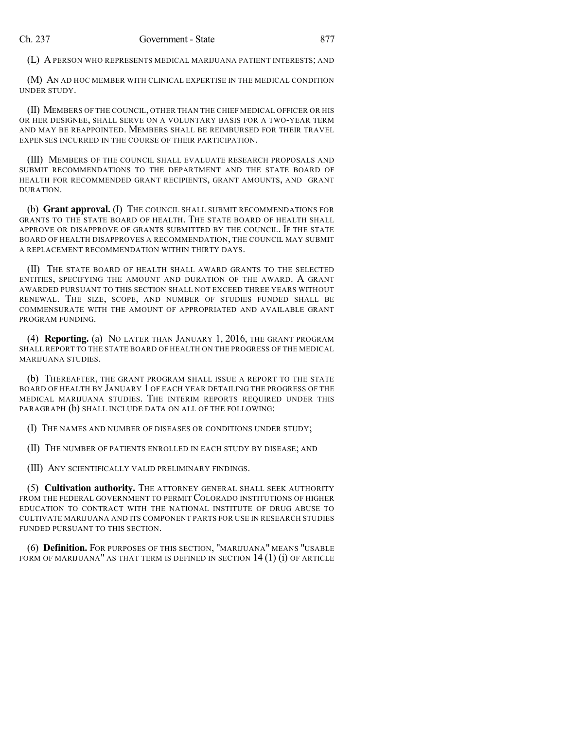(L) A PERSON WHO REPRESENTS MEDICAL MARIJUANA PATIENT INTERESTS; AND

(M) AN AD HOC MEMBER WITH CLINICAL EXPERTISE IN THE MEDICAL CONDITION UNDER STUDY.

(II) MEMBERS OF THE COUNCIL, OTHER THAN THE CHIEF MEDICAL OFFICER OR HIS OR HER DESIGNEE, SHALL SERVE ON A VOLUNTARY BASIS FOR A TWO-YEAR TERM AND MAY BE REAPPOINTED. MEMBERS SHALL BE REIMBURSED FOR THEIR TRAVEL EXPENSES INCURRED IN THE COURSE OF THEIR PARTICIPATION.

(III) MEMBERS OF THE COUNCIL SHALL EVALUATE RESEARCH PROPOSALS AND SUBMIT RECOMMENDATIONS TO THE DEPARTMENT AND THE STATE BOARD OF HEALTH FOR RECOMMENDED GRANT RECIPIENTS, GRANT AMOUNTS, AND GRANT DURATION.

(b) **Grant approval.** (I) THE COUNCIL SHALL SUBMIT RECOMMENDATIONS FOR GRANTS TO THE STATE BOARD OF HEALTH. THE STATE BOARD OF HEALTH SHALL APPROVE OR DISAPPROVE OF GRANTS SUBMITTED BY THE COUNCIL. IF THE STATE BOARD OF HEALTH DISAPPROVES A RECOMMENDATION, THE COUNCIL MAY SUBMIT A REPLACEMENT RECOMMENDATION WITHIN THIRTY DAYS.

(II) THE STATE BOARD OF HEALTH SHALL AWARD GRANTS TO THE SELECTED ENTITIES, SPECIFYING THE AMOUNT AND DURATION OF THE AWARD. A GRANT AWARDED PURSUANT TO THIS SECTION SHALL NOT EXCEED THREE YEARS WITHOUT RENEWAL. THE SIZE, SCOPE, AND NUMBER OF STUDIES FUNDED SHALL BE COMMENSURATE WITH THE AMOUNT OF APPROPRIATED AND AVAILABLE GRANT PROGRAM FUNDING.

(4) **Reporting.** (a) NO LATER THAN JANUARY 1, 2016, THE GRANT PROGRAM SHALL REPORT TO THE STATE BOARD OF HEALTH ON THE PROGRESS OF THE MEDICAL MARIJUANA STUDIES

(b) THEREAFTER, THE GRANT PROGRAM SHALL ISSUE A REPORT TO THE STATE BOARD OF HEALTH BY JANUARY 1 OF EACH YEAR DETAILING THE PROGRESS OF THE MEDICAL MARIJUANA STUDIES. THE INTERIM REPORTS REQUIRED UNDER THIS PARAGRAPH (b) SHALL INCLUDE DATA ON ALL OF THE FOLLOWING:

(I) THE NAMES AND NUMBER OF DISEASES OR CONDITIONS UNDER STUDY;

(II) THE NUMBER OF PATIENTS ENROLLED IN EACH STUDY BY DISEASE; AND

(III) ANY SCIENTIFICALLY VALID PRELIMINARY FINDINGS.

(5) **Cultivation authority.** THE ATTORNEY GENERAL SHALL SEEK AUTHORITY FROM THE FEDERAL GOVERNMENT TO PERMIT COLORADO INSTITUTIONS OF HIGHER EDUCATION TO CONTRACT WITH THE NATIONAL INSTITUTE OF DRUG ABUSE TO CULTIVATE MARIJUANA AND ITS COMPONENT PARTS FOR USE IN RESEARCH STUDIES FUNDED PURSUANT TO THIS SECTION.

(6) **Definition.** FOR PURPOSES OF THIS SECTION, "MARIJUANA" MEANS "USABLE FORM OF MARIJUANA" AS THAT TERM IS DEFINED IN SECTION 14 (1) (i) OF ARTICLE